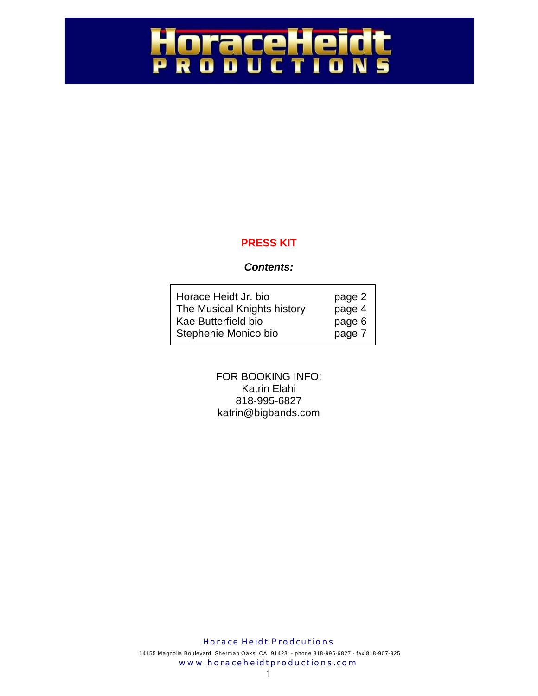### HoraceHeidt<br>PRobuctions P

#### **PRESS KIT**

#### *Contents:*

| Horace Heidt Jr. bio        | page 2 |
|-----------------------------|--------|
| The Musical Knights history | page 4 |
| Kae Butterfield bio         | page 6 |
| Stephenie Monico bio        | page 7 |

FOR BOOKING INFO: Katrin Elahi 818-995-6827 katrin@bigbands.com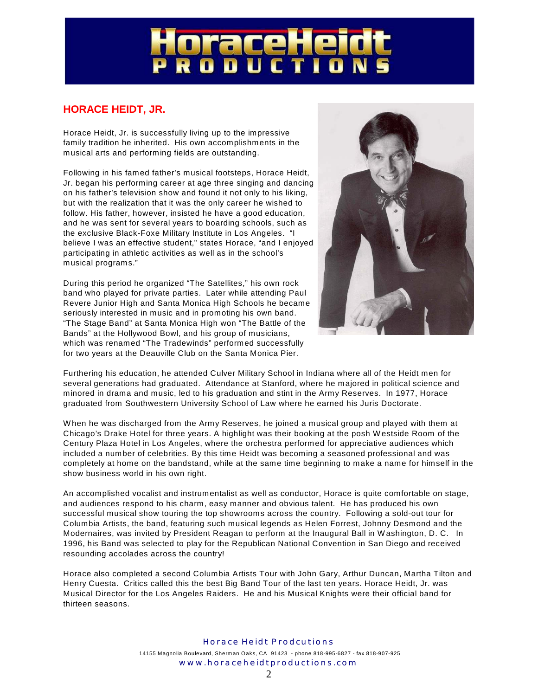# ace

#### **HORACE HEIDT, JR.**

Horace Heidt, Jr. is successfully living up to the impressive family tradition he inherited. His own accomplishments in the musical arts and performing fields are outstanding.

Following in his famed father's musical footsteps, Horace Heidt, Jr. began his performing career at age three singing and dancing on his father's television show and found it not only to his liking, but with the realization that it was the only career he wished to follow. His father, however, insisted he have a good education, and he was sent for several years to boarding schools, such as the exclusive Black-Foxe Military Institute in Los Angeles. "I believe I was an effective student," states Horace, "and I enjoyed participating in athletic activities as well as in the school's musical programs."

During this period he organized "The Satellites," his own rock band who played for private parties. Later while attending Paul Revere Junior High and Santa Monica High Schools he became seriously interested in music and in promoting his own band. "The Stage Band" at Santa Monica High won "The Battle of the Bands" at the Hollywood Bowl, and his group of musicians, which was renamed "The Tradewinds" performed successfully for two years at the Deauville Club on the Santa Monica Pier.



Furthering his education, he attended Culver Military School in Indiana where all of the Heidt men for several generations had graduated. Attendance at Stanford, where he majored in political science and minored in drama and music, led to his graduation and stint in the Army Reserves. In 1977, Horace graduated from Southwestern University School of Law where he earned his Juris Doctorate.

W hen he was discharged from the Army Reserves, he joined a musical group and played with them at Chicago's Drake Hotel for three years. A highlight was their booking at the posh Westside Room of the Century Plaza Hotel in Los Angeles, where the orchestra performed for appreciative audiences which included a number of celebrities. By this time Heidt was becoming a seasoned professional and was completely at home on the bandstand, while at the same time beginning to make a name for himself in the show business world in his own right.

An accomplished vocalist and instrumentalist as well as conductor, Horace is quite comfortable on stage, and audiences respond to his charm, easy manner and obvious talent. He has produced his own successful musical show touring the top showrooms across the country. Following a sold-out tour for Columbia Artists, the band, featuring such musical legends as Helen Forrest, Johnny Desmond and the Modernaires, was invited by President Reagan to perform at the Inaugural Ball in W ashington, D. C. In 1996, his Band was selected to play for the Republican National Convention in San Diego and received resounding accolades across the country!

Horace also completed a second Columbia Artists Tour with John Gary, Arthur Duncan, Martha Tilton and Henry Cuesta. Critics called this the best Big Band Tour of the last ten years. Horace Heidt, Jr. was Musical Director for the Los Angeles Raiders. He and his Musical Knights were their official band for thirteen seasons.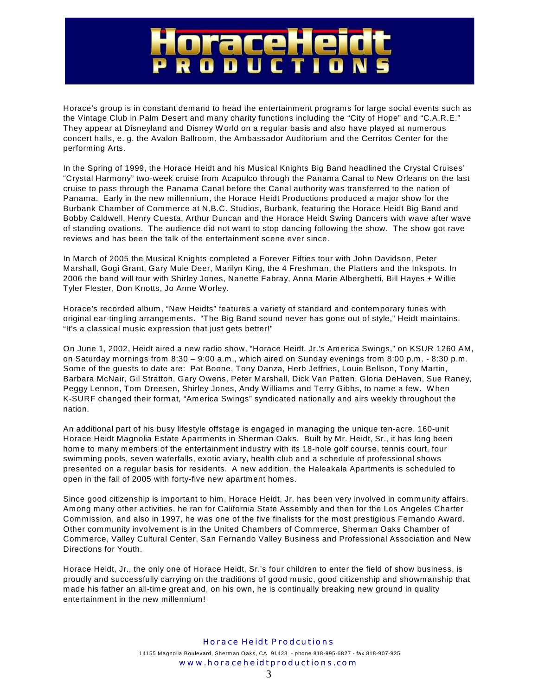#### e  $\overline{\phantom{a}}$ U n. CT

Horace's group is in constant demand to head the entertainment programs for large social events such as the Vintage Club in Palm Desert and many charity functions including the "City of Hope" and "C.A.R.E." They appear at Disneyland and Disney W orld on a regular basis and also have played at numerous concert halls, e. g. the Avalon Ballroom, the Ambassador Auditorium and the Cerritos Center for the performing Arts.

In the Spring of 1999, the Horace Heidt and his Musical Knights Big Band headlined the Crystal Cruises' "Crystal Harmony" two-week cruise from Acapulco through the Panama Canal to New Orleans on the last cruise to pass through the Panama Canal before the Canal authority was transferred to the nation of Panama. Early in the new millennium, the Horace Heidt Productions produced a major show for the Burbank Chamber of Commerce at N.B.C. Studios, Burbank, featuring the Horace Heidt Big Band and Bobby Caldwell, Henry Cuesta, Arthur Duncan and the Horace Heidt Swing Dancers with wave after wave of standing ovations. The audience did not want to stop dancing following the show. The show got rave reviews and has been the talk of the entertainment scene ever since.

In March of 2005 the Musical Knights completed a Forever Fifties tour with John Davidson, Peter Marshall, Gogi Grant, Gary Mule Deer, Marilyn King, the 4 Freshman, the Platters and the Inkspots. In 2006 the band will tour with Shirley Jones, Nanette Fabray, Anna Marie Alberghetti, Bill Hayes + W illie Tyler Flester, Don Knotts, Jo Anne W orley.

Horace's recorded album, "New Heidts" features a variety of standard and contemporary tunes with original ear-tingling arrangements. "The Big Band sound never has gone out of style," Heidt maintains. "It's a classical music expression that just gets better!"

On June 1, 2002, Heidt aired a new radio show, "Horace Heidt, Jr.'s America Swings," on KSUR 1260 AM, on Saturday mornings from 8:30 – 9:00 a.m., which aired on Sunday evenings from 8:00 p.m. - 8:30 p.m. Some of the guests to date are: Pat Boone, Tony Danza, Herb Jeffries, Louie Bellson, Tony Martin, Barbara McNair, Gil Stratton, Gary Owens, Peter Marshall, Dick Van Patten, Gloria DeHaven, Sue Raney, Peggy Lennon, Tom Dreesen, Shirley Jones, Andy W illiams and Terry Gibbs, to name a few. When K-SURF changed their format, "America Swings" syndicated nationally and airs weekly throughout the nation.

An additional part of his busy lifestyle offstage is engaged in managing the unique ten-acre, 160-unit Horace Heidt Magnolia Estate Apartments in Sherman Oaks. Built by Mr. Heidt, Sr., it has long been home to many members of the entertainment industry with its 18-hole golf course, tennis court, four swimming pools, seven waterfalls, exotic aviary, health club and a schedule of professional shows presented on a regular basis for residents. A new addition, the Haleakala Apartments is scheduled to open in the fall of 2005 with forty-five new apartment homes.

Since good citizenship is important to him, Horace Heidt, Jr. has been very involved in community affairs. Among many other activities, he ran for California State Assembly and then for the Los Angeles Charter Commission, and also in 1997, he was one of the five finalists for the most prestigious Fernando Award. Other community involvement is in the United Chambers of Commerce, Sherman Oaks Chamber of Commerce, Valley Cultural Center, San Fernando Valley Business and Professional Association and New Directions for Youth.

Horace Heidt, Jr., the only one of Horace Heidt, Sr.'s four children to enter the field of show business, is proudly and successfully carrying on the traditions of good music, good citizenship and showmanship that made his father an all-time great and, on his own, he is continually breaking new ground in quality entertainment in the new millennium!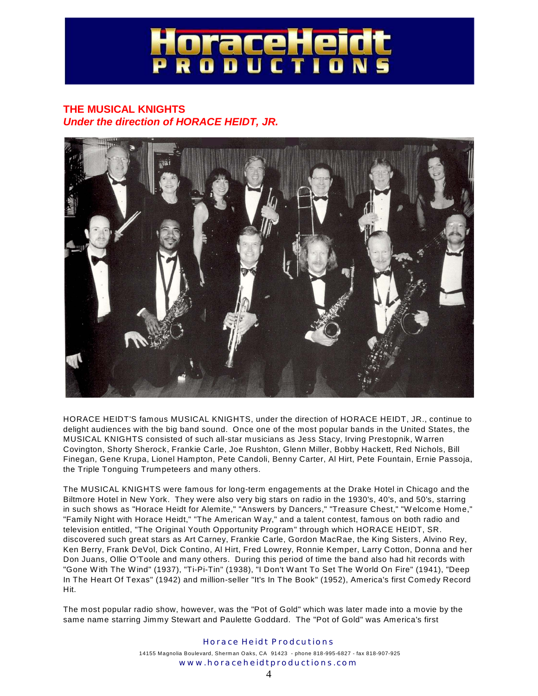## aceH

#### **THE MUSICAL KNIGHTS** *Under the direction of HORACE HEIDT, JR.*



HORACE HEIDT'S famous MUSICAL KNIGHTS, under the direction of HORACE HEIDT, JR., continue to delight audiences with the big band sound. Once one of the most popular bands in the United States, the MUSICAL KNIGHTS consisted of such all-star musicians as Jess Stacy, Irving Prestopnik, W arren Covington, Shorty Sherock, Frankie Carle, Joe Rushton, Glenn Miller, Bobby Hackett, Red Nichols, Bill Finegan, Gene Krupa, Lionel Hampton, Pete Candoli, Benny Carter, Al Hirt, Pete Fountain, Ernie Passoja, the Triple Tonguing Trumpeteers and many others.

The MUSICAL KNIGHTS were famous for long-term engagements at the Drake Hotel in Chicago and the Biltmore Hotel in New York. They were also very big stars on radio in the 1930's, 40's, and 50's, starring in such shows as "Horace Heidt for Alemite," "Answers by Dancers," "Treasure Chest," "W elcome Home," "Family Night with Horace Heidt," "The American Way," and a talent contest, famous on both radio and television entitled, "The Original Youth Opportunity Program" through which HORACE HEIDT, SR. discovered such great stars as Art Carney, Frankie Carle, Gordon MacRae, the King Sisters, Alvino Rey, Ken Berry, Frank DeVol, Dick Contino, Al Hirt, Fred Lowrey, Ronnie Kemper, Larry Cotton, Donna and her Don Juans, Ollie O'Toole and many others. During this period of time the band also had hit records with "Gone W ith The Wind" (1937), "Ti-Pi-Tin" (1938), "I Don't W ant To Set The World On Fire" (1941), "Deep In The Heart Of Texas" (1942) and million-seller "It's In The Book" (1952), America's first Comedy Record Hit.

The most popular radio show, however, was the "Pot of Gold" which was later made into a movie by the same name starring Jimmy Stewart and Paulette Goddard. The "Pot of Gold" was America's first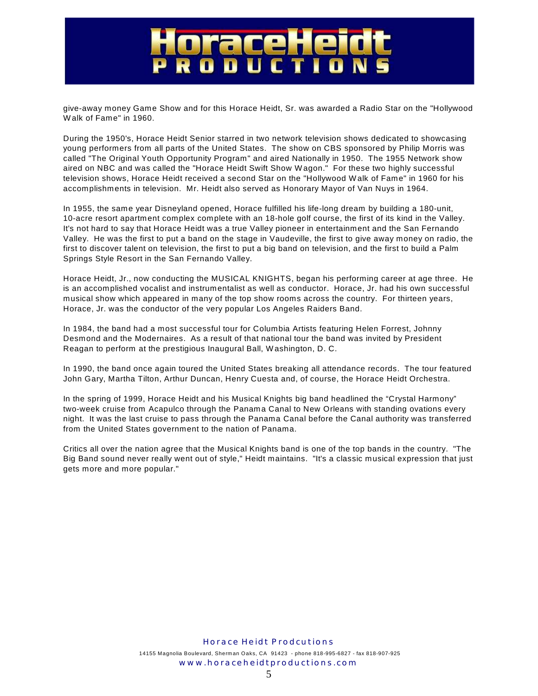### P  $\overline{\bullet}$ n

give-away money Game Show and for this Horace Heidt, Sr. was awarded a Radio Star on the "Hollywood W alk of Fame" in 1960.

During the 1950's, Horace Heidt Senior starred in two network television shows dedicated to showcasing young performers from all parts of the United States. The show on CBS sponsored by Philip Morris was called "The Original Youth Opportunity Program" and aired Nationally in 1950. The 1955 Network show aired on NBC and was called the "Horace Heidt Swift Show W agon." For these two highly successful television shows, Horace Heidt received a second Star on the "Hollywood W alk of Fame" in 1960 for his accomplishments in television. Mr. Heidt also served as Honorary Mayor of Van Nuys in 1964.

In 1955, the same year Disneyland opened, Horace fulfilled his life-long dream by building a 180-unit, 10-acre resort apartment complex complete with an 18-hole golf course, the first of its kind in the Valley. It's not hard to say that Horace Heidt was a true Valley pioneer in entertainment and the San Fernando Valley. He was the first to put a band on the stage in Vaudeville, the first to give away money on radio, the first to discover talent on television, the first to put a big band on television, and the first to build a Palm Springs Style Resort in the San Fernando Valley.

Horace Heidt, Jr., now conducting the MUSICAL KNIGHTS, began his performing career at age three. He is an accomplished vocalist and instrumentalist as well as conductor. Horace, Jr. had his own successful musical show which appeared in many of the top show rooms across the country. For thirteen years, Horace, Jr. was the conductor of the very popular Los Angeles Raiders Band.

In 1984, the band had a most successful tour for Columbia Artists featuring Helen Forrest, Johnny Desmond and the Modernaires. As a result of that national tour the band was invited by President Reagan to perform at the prestigious Inaugural Ball, W ashington, D. C.

In 1990, the band once again toured the United States breaking all attendance records. The tour featured John Gary, Martha Tilton, Arthur Duncan, Henry Cuesta and, of course, the Horace Heidt Orchestra.

In the spring of 1999, Horace Heidt and his Musical Knights big band headlined the "Crystal Harmony" two-week cruise from Acapulco through the Panama Canal to New Orleans with standing ovations every night. It was the last cruise to pass through the Panama Canal before the Canal authority was transferred from the United States government to the nation of Panama.

Critics all over the nation agree that the Musical Knights band is one of the top bands in the country. "The Big Band sound never really went out of style," Heidt maintains. "It's a classic musical expression that just gets more and more popular."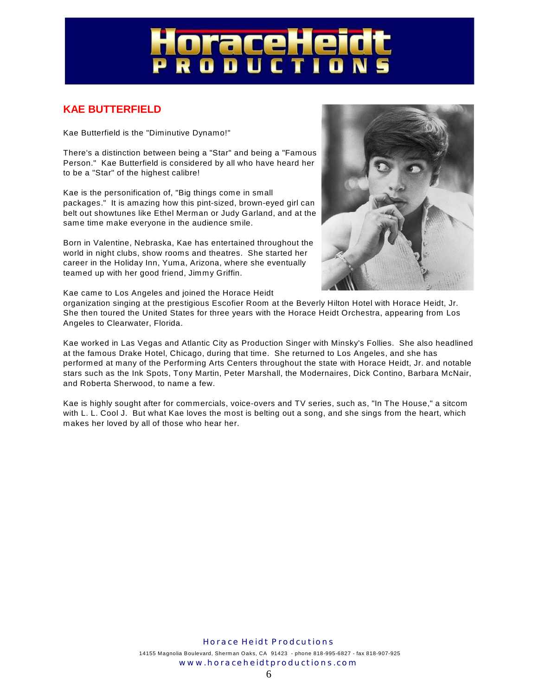# aceH<br>Duc T

#### **KAE BUTTERFIELD**

Kae Butterfield is the "Diminutive Dynamo!"

There's a distinction between being a "Star" and being a "Famous Person." Kae Butterfield is considered by all who have heard her to be a "Star" of the highest calibre!

Kae is the personification of, "Big things come in small packages." It is amazing how this pint-sized, brown-eyed girl can belt out showtunes like Ethel Merman or Judy Garland, and at the same time make everyone in the audience smile.

Born in Valentine, Nebraska, Kae has entertained throughout the world in night clubs, show rooms and theatres. She started her career in the Holiday Inn, Yuma, Arizona, where she eventually teamed up with her good friend, Jimmy Griffin.



Kae came to Los Angeles and joined the Horace Heidt

organization singing at the prestigious Escofier Room at the Beverly Hilton Hotel with Horace Heidt, Jr. She then toured the United States for three years with the Horace Heidt Orchestra, appearing from Los Angeles to Clearwater, Florida.

Kae worked in Las Vegas and Atlantic City as Production Singer with Minsky's Follies. She also headlined at the famous Drake Hotel, Chicago, during that time. She returned to Los Angeles, and she has performed at many of the Performing Arts Centers throughout the state with Horace Heidt, Jr. and notable stars such as the Ink Spots, Tony Martin, Peter Marshall, the Modernaires, Dick Contino, Barbara McNair, and Roberta Sherwood, to name a few.

Kae is highly sought after for commercials, voice-overs and TV series, such as, "In The House," a sitcom with L. L. Cool J. But what Kae loves the most is belting out a song, and she sings from the heart, which makes her loved by all of those who hear her.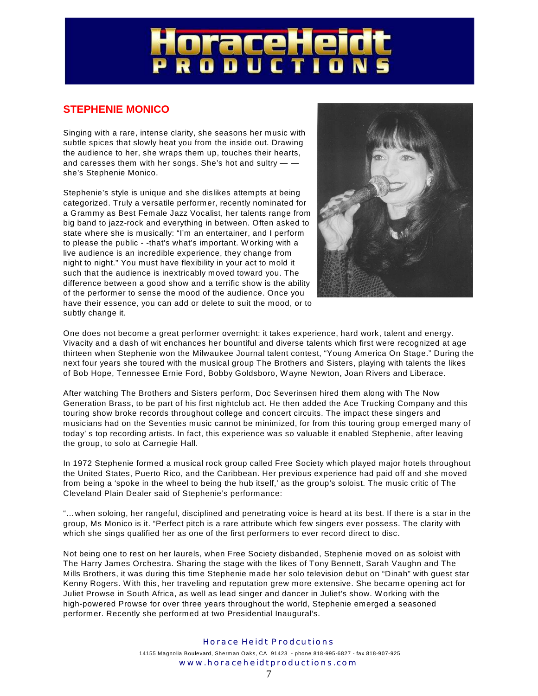# raceH<br>o o u c T

#### **STEPHENIE MONICO**

Singing with a rare, intense clarity, she seasons her music with subtle spices that slowly heat you from the inside out. Drawing the audience to her, she wraps them up, touches their hearts, and caresses them with her songs. She's hot and sultry  $$ she's Stephenie Monico.

Stephenie's style is unique and she dislikes attempts at being categorized. Truly a versatile performer, recently nominated for a Grammy as Best Female Jazz Vocalist, her talents range from big band to jazz-rock and everything in between. Often asked to state where she is musically: "I'm an entertainer, and I perform to please the public - -that's what's important. W orking with a live audience is an incredible experience, they change from night to night." You must have flexibility in your act to mold it such that the audience is inextricably moved toward you. The difference between a good show and a terrific show is the ability of the performer to sense the mood of the audience. Once you have their essence, you can add or delete to suit the mood, or to subtly change it.



One does not become a great performer overnight: it takes experience, hard work, talent and energy. Vivacity and a dash of wit enchances her bountiful and diverse talents which first were recognized at age thirteen when Stephenie won the Milwaukee Journal talent contest, "Young America On Stage." During the next four years she toured with the musical group The Brothers and Sisters, playing with talents the likes of Bob Hope, Tennessee Ernie Ford, Bobby Goldsboro, W ayne Newton, Joan Rivers and Liberace.

After watching The Brothers and Sisters perform, Doc Severinsen hired them along with The Now Generation Brass, to be part of his first nightclub act. He then added the Ace Trucking Company and this touring show broke records throughout college and concert circuits. The impact these singers and musicians had on the Seventies music cannot be minimized, for from this touring group emerged many of today' s top recording artists. In fact, this experience was so valuable it enabled Stephenie, after leaving the group, to solo at Carnegie Hall.

In 1972 Stephenie formed a musical rock group called Free Society which played major hotels throughout the United States, Puerto Rico, and the Caribbean. Her previous experience had paid off and she moved from being a 'spoke in the wheel to being the hub itself,' as the group's soloist. The music critic of The Cleveland Plain Dealer said of Stephenie's performance:

"…when soloing, her rangeful, disciplined and penetrating voice is heard at its best. If there is a star in the group, Ms Monico is it. "Perfect pitch is a rare attribute which few singers ever possess. The clarity with which she sings qualified her as one of the first performers to ever record direct to disc.

Not being one to rest on her laurels, when Free Society disbanded, Stephenie moved on as soloist with The Harry James Orchestra. Sharing the stage with the likes of Tony Bennett, Sarah Vaughn and The Mills Brothers, it was during this time Stephenie made her solo television debut on "Dinah" with guest star Kenny Rogers. W ith this, her traveling and reputation grew more extensive. She became opening act for Juliet Prowse in South Africa, as well as lead singer and dancer in Juliet's show. W orking with the high-powered Prowse for over three years throughout the world, Stephenie emerged a seasoned performer. Recently she performed at two Presidential Inaugural's.